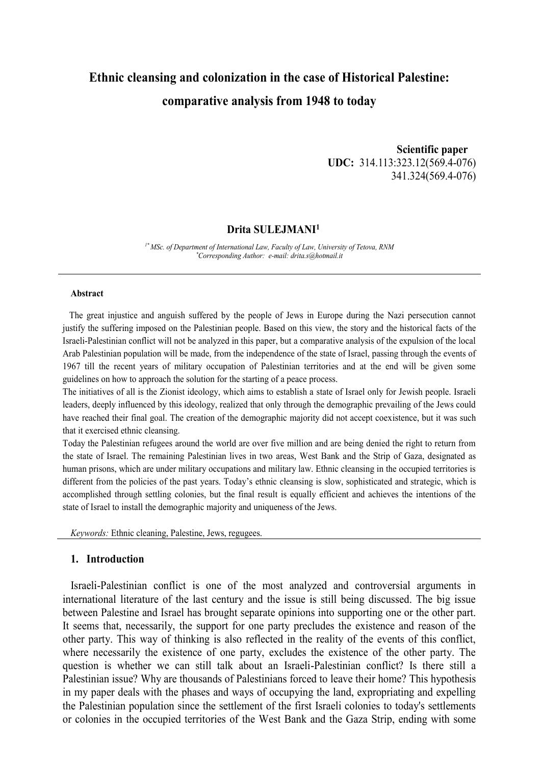# **Ethnic cleansing and colonization in the case of Historical Palestine: comparative analysis from 1948 to today**

 **Scientific paper UDC:** 314.113:323.12(569.4-076) 341.324(569.4-076)

# **Drita SULEJMANI 1**

*1\* MSc. of Department of International Law, Faculty of Law, University of Tetova, RNM \*Corresponding Author: e-mail: drita.s@hotmail.it*

#### **Abstract**

 The great injustice and anguish suffered by the people of Jews in Europe during the Nazi persecution cannot justify the suffering imposed on the Palestinian people. Based on this view, the story and the historical facts of the Israeli-Palestinian conflict will not be analyzed in this paper, but a comparative analysis of the expulsion of the local Arab Palestinian population will be made, from the independence of the state of Israel, passing through the events of 1967 till the recent years of military occupation of Palestinian territories and at the end will be given some guidelines on how to approach the solution for the starting of a peace process.

The initiatives of all is the Zionist ideology, which aims to establish a state of Israel only for Jewish people. Israeli leaders, deeply influenced by this ideology, realized that only through the demographic prevailing of the Jews could have reached their final goal. The creation of the demographic majority did not accept coexistence, but it was such that it exercised ethnic cleansing.

Today the Palestinian refugees around the world are over five million and are being denied the right to return from the state of Israel. The remaining Palestinian lives in two areas, West Bank and the Strip of Gaza, designated as human prisons, which are under military occupations and military law. Ethnic cleansing in the occupied territories is different from the policies of the past years. Today's ethnic cleansing is slow, sophisticated and strategic, which is accomplished through settling colonies, but the final result is equally efficient and achieves the intentions of the state of Israel to install the demographic majority and uniqueness of the Jews.

*Keywords:* Ethnic cleaning, Palestine, Jews, regugees.

### **1. Introduction**

Israeli-Palestinian conflict is one of the most analyzed and controversial arguments in international literature of the last century and the issue is still being discussed. The big issue between Palestine and Israel has brought separate opinions into supporting one or the other part. It seems that, necessarily, the support for one party precludes the existence and reason of the other party. This way of thinking is also reflected in the reality of the events of this conflict, where necessarily the existence of one party, excludes the existence of the other party. The question is whether we can still talk about an Israeli-Palestinian conflict? Is there still a Palestinian issue? Why are thousands of Palestinians forced to leave their home? This hypothesis in my paper deals with the phases and ways of occupying the land, expropriating and expelling the Palestinian population since the settlement of the first Israeli colonies to today's settlements or colonies in the occupied territories of the West Bank and the Gaza Strip, ending with some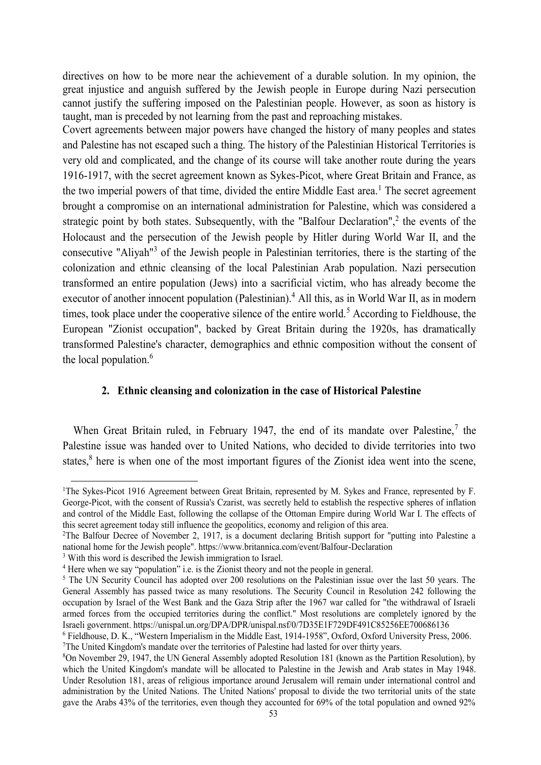directives on how to be more near the achievement of a durable solution. In my opinion, the great injustice and anguish suffered by the Jewish people in Europe during Nazi persecution cannot justify the suffering imposed on the Palestinian people. However, as soon as history is taught, man is preceded by not learning from the past and reproaching mistakes.

Covert agreements between major powers have changed the history of many peoples and states and Palestine has not escaped such a thing. The history of the Palestinian Historical Territories is very old and complicated, and the change of its course will take another route during the years 1916-1917, with the secret agreement known as Sykes-Picot, where Great Britain and France, as the two imperial powers of that time, divided the entire Middle East area.<sup>1</sup> The secret agreement brought a compromise on an international administration for Palestine, which was considered a strategic point by both states. Subsequently, with the "Balfour Declaration",<sup>2</sup> the events of the Holocaust and the persecution of the Jewish people by Hitler during World War II, and the consecutive "Aliyah"<sup>3</sup> of the Jewish people in Palestinian territories, there is the starting of the colonization and ethnic cleansing of the local Palestinian Arab population. Nazi persecution transformed an entire population (Jews) into a sacrificial victim, who has already become the executor of another innocent population (Palestinian).<sup>4</sup> All this, as in World War II, as in modern times, took place under the cooperative silence of the entire world.<sup>5</sup> According to Fieldhouse, the European "Zionist occupation", backed by Great Britain during the 1920s, has dramatically transformed Palestine's character, demographics and ethnic composition without the consent of the local population.<sup>6</sup>

# **2. Ethnic cleansing and colonization in the case of Historical Palestine**

When Great Britain ruled, in February 1947, the end of its mandate over Palestine, $<sup>7</sup>$  the</sup> Palestine issue was handed over to United Nations, who decided to divide territories into two states,<sup>8</sup> here is when one of the most important figures of the Zionist idea went into the scene,

<sup>&</sup>lt;sup>1</sup>The Sykes-Picot 1916 Agreement between Great Britain, represented by M. Sykes and France, represented by F. George-Picot, with the consent of Russia's Czarist, was secretly held to establish the respective spheres of inflation and control of the Middle East, following the collapse of the Ottoman Empire during World War I. The effects of this secret agreement today still influence the geopolitics, economy and religion of this area.

<sup>&</sup>lt;sup>2</sup>The Balfour Decree of November 2, 1917, is a document declaring British support for "putting into Palestine a national home for the Jewish people". https://www.britannica.com/event/Balfour-Declaration

<sup>&</sup>lt;sup>3</sup> With this word is described the Jewish immigration to Israel.

<sup>4</sup> Here when we say "population" i.e. is the Zionist theory and not the people in general.

<sup>&</sup>lt;sup>5</sup> The UN Security Council has adopted over 200 resolutions on the Palestinian issue over the last 50 years. The General Assembly has passed twice as many resolutions. The Security Council in Resolution 242 following the occupation by Israel of the West Bank and the Gaza Strip after the 1967 war called for "the withdrawal of Israeli armed forces from the occupied territories during the conflict." Most resolutions are completely ignored by the Israeli government. https://unispal.un.org/DPA/DPR/unispal.nsf/0/7D35E1F729DF491C85256EE700686136

<sup>6</sup> Fieldhouse, D. K., "Western Imperialism in the Middle East, 1914-1958", Oxford, Oxford University Press, 2006. <sup>7</sup>The United Kingdom's mandate over the territories of Palestine had lasted for over thirty years.

<sup>8</sup>On November 29, 1947, the UN General Assembly adopted Resolution 181 (known as the Partition Resolution), by which the United Kingdom's mandate will be allocated to Palestine in the Jewish and Arab states in May 1948. Under Resolution 181, areas of religious importance around Jerusalem will remain under international control and administration by the United Nations. The United Nations' proposal to divide the two territorial units of the state gave the Arabs 43% of the territories, even though they accounted for 69% of the total population and owned 92%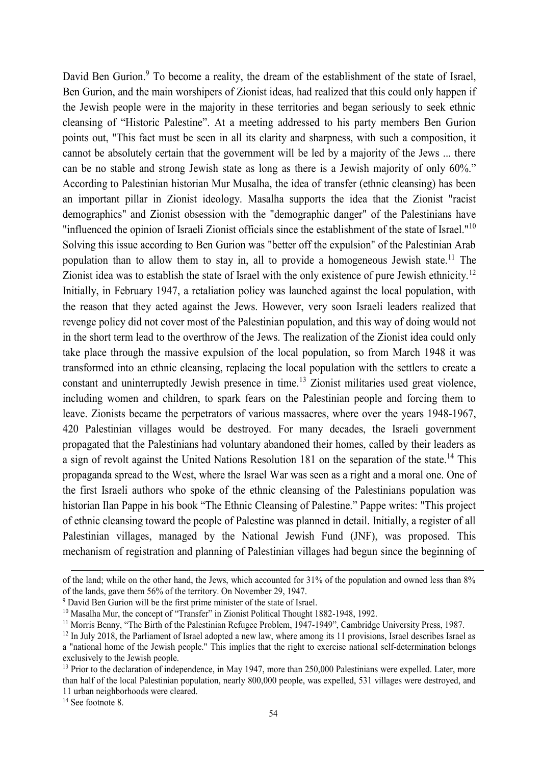David Ben Gurion.<sup>9</sup> To become a reality, the dream of the establishment of the state of Israel, Ben Gurion, and the main worshipers of Zionist ideas, had realized that this could only happen if the Jewish people were in the majority in these territories and began seriously to seek ethnic cleansing of "Historic Palestine". At a meeting addressed to his party members Ben Gurion points out, "This fact must be seen in all its clarity and sharpness, with such a composition, it cannot be absolutely certain that the government will be led by a majority of the Jews ... there can be no stable and strong Jewish state as long as there is a Jewish majority of only 60%." According to Palestinian historian Mur Musalha, the idea of transfer (ethnic cleansing) has been an important pillar in Zionist ideology. Masalha supports the idea that the Zionist "racist demographics" and Zionist obsession with the "demographic danger" of the Palestinians have "influenced the opinion of Israeli Zionist officials since the establishment of the state of Israel."<sup>10</sup> Solving this issue according to Ben Gurion was "better off the expulsion" of the Palestinian Arab population than to allow them to stay in, all to provide a homogeneous Jewish state.<sup>11</sup> The Zionist idea was to establish the state of Israel with the only existence of pure Jewish ethnicity.<sup>12</sup> Initially, in February 1947, a retaliation policy was launched against the local population, with the reason that they acted against the Jews. However, very soon Israeli leaders realized that revenge policy did not cover most of the Palestinian population, and this way of doing would not in the short term lead to the overthrow of the Jews. The realization of the Zionist idea could only take place through the massive expulsion of the local population, so from March 1948 it was transformed into an ethnic cleansing, replacing the local population with the settlers to create a constant and uninterruptedly Jewish presence in time.<sup>13</sup> Zionist militaries used great violence, including women and children, to spark fears on the Palestinian people and forcing them to leave. Zionists became the perpetrators of various massacres, where over the years 1948-1967, 420 Palestinian villages would be destroyed. For many decades, the Israeli government propagated that the Palestinians had voluntary abandoned their homes, called by their leaders as a sign of revolt against the United Nations Resolution 181 on the separation of the state.<sup>14</sup> This propaganda spread to the West, where the Israel War was seen as a right and a moral one. One of the first Israeli authors who spoke of the ethnic cleansing of the Palestinians population was historian Ilan Pappe in his book "The Ethnic Cleansing of Palestine." Pappe writes: "This project of ethnic cleansing toward the people of Palestine was planned in detail. Initially, a register of all Palestinian villages, managed by the National Jewish Fund (JNF), was proposed. This mechanism of registration and planning of Palestinian villages had begun since the beginning of

of the land; while on the other hand, the Jews, which accounted for 31% of the population and owned less than 8% of the lands, gave them 56% of the territory. On November 29, 1947.

<sup>&</sup>lt;sup>9</sup> David Ben Gurion will be the first prime minister of the state of Israel.

<sup>&</sup>lt;sup>10</sup> Masalha Mur, the concept of "Transfer" in Zionist Political Thought 1882-1948, 1992.

<sup>&</sup>lt;sup>11</sup> Morris Benny, "The Birth of the Palestinian Refugee Problem, 1947-1949", Cambridge University Press, 1987.

<sup>&</sup>lt;sup>12</sup> In July 2018, the Parliament of Israel adopted a new law, where among its 11 provisions, Israel describes Israel as a "national home of the Jewish people." This implies that the right to exercise national self-determination belongs exclusively to the Jewish people.

<sup>&</sup>lt;sup>13</sup> Prior to the declaration of independence, in May 1947, more than 250,000 Palestinians were expelled. Later, more than half of the local Palestinian population, nearly 800,000 people, was expelled, 531 villages were destroyed, and 11 urban neighborhoods were cleared.

<sup>&</sup>lt;sup>14</sup> See footnote 8.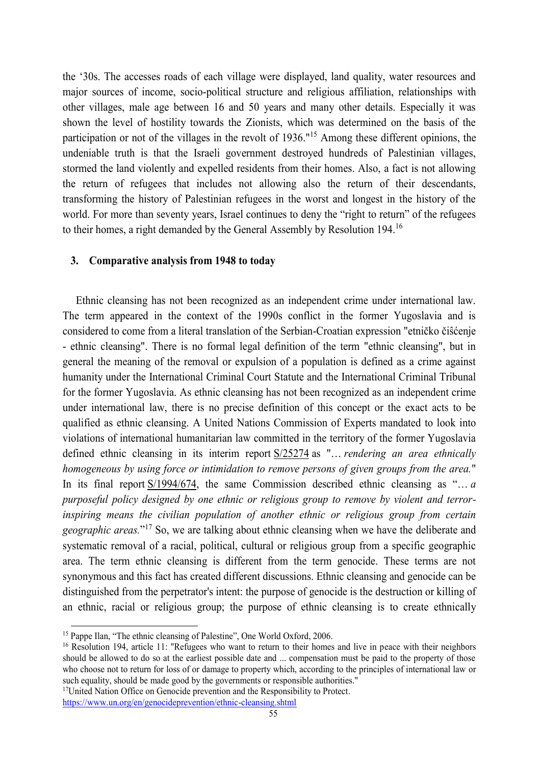the '30s. The accesses roads of each village were displayed, land quality, water resources and major sources of income, socio-political structure and religious affiliation, relationships with other villages, male age between 16 and 50 years and many other details. Especially it was shown the level of hostility towards the Zionists, which was determined on the basis of the participation or not of the villages in the revolt of 1936."<sup>15</sup> Among these different opinions, the undeniable truth is that the Israeli government destroyed hundreds of Palestinian villages, stormed the land violently and expelled residents from their homes. Also, a fact is not allowing the return of refugees that includes not allowing also the return of their descendants, transforming the history of Palestinian refugees in the worst and longest in the history of the world. For more than seventy years, Israel continues to deny the "right to return" of the refugees to their homes, a right demanded by the General Assembly by Resolution 194.<sup>16</sup>

## **3. Comparative analysis from 1948 to today**

 Ethnic cleansing has not been recognized as an independent crime under international law. The term appeared in the context of the 1990s conflict in the former Yugoslavia and is considered to come from a literal translation of the Serbian-Croatian expression "etničko čiŝćenje - ethnic cleansing". There is no formal legal definition of the term "ethnic cleansing", but in general the meaning of the removal or expulsion of a population is defined as a crime against humanity under the International Criminal Court Statute and the International Criminal Tribunal for the former Yugoslavia. As ethnic cleansing has not been recognized as an independent crime under international law, there is no precise definition of this concept or the exact acts to be qualified as ethnic cleansing. A United Nations Commission of Experts mandated to look into violations of international humanitarian law committed in the territory of the former Yugoslavia defined ethnic cleansing in its interim report S/25274 as "… *rendering an area ethnically homogeneous by using force or intimidation to remove persons of given groups from the area.*" In its final report S/1994/674, the same Commission described ethnic cleansing as "… *a purposeful policy designed by one ethnic or religious group to remove by violent and terrorinspiring means the civilian population of another ethnic or religious group from certain geographic areas.*" <sup>17</sup> So, we are talking about ethnic cleansing when we have the deliberate and systematic removal of a racial, political, cultural or religious group from a specific geographic area. The term ethnic cleansing is different from the term genocide. These terms are not synonymous and this fact has created different discussions. Ethnic cleansing and genocide can be distinguished from the perpetrator's intent: the purpose of genocide is the destruction or killing of an ethnic, racial or religious group; the purpose of ethnic cleansing is to create ethnically

<sup>&</sup>lt;sup>15</sup> Pappe Ilan, "The ethnic cleansing of Palestine", One World Oxford, 2006.

<sup>&</sup>lt;sup>16</sup> Resolution 194, article 11: "Refugees who want to return to their homes and live in peace with their neighbors should be allowed to do so at the earliest possible date and ... compensation must be paid to the property of those who choose not to return for loss of or damage to property which, according to the principles of international law or such equality, should be made good by the governments or responsible authorities."

<sup>&</sup>lt;sup>17</sup>United Nation Office on Genocide prevention and the Responsibility to Protect.

https://www.un.org/en/genocideprevention/ethnic-cleansing.shtml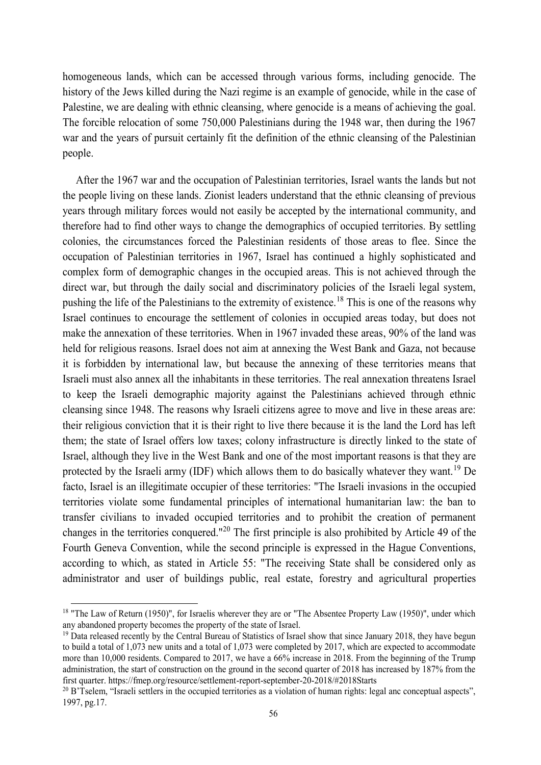homogeneous lands, which can be accessed through various forms, including genocide. The history of the Jews killed during the Nazi regime is an example of genocide, while in the case of Palestine, we are dealing with ethnic cleansing, where genocide is a means of achieving the goal. The forcible relocation of some 750,000 Palestinians during the 1948 war, then during the 1967 war and the years of pursuit certainly fit the definition of the ethnic cleansing of the Palestinian people.

 After the 1967 war and the occupation of Palestinian territories, Israel wants the lands but not the people living on these lands. Zionist leaders understand that the ethnic cleansing of previous years through military forces would not easily be accepted by the international community, and therefore had to find other ways to change the demographics of occupied territories. By settling colonies, the circumstances forced the Palestinian residents of those areas to flee. Since the occupation of Palestinian territories in 1967, Israel has continued a highly sophisticated and complex form of demographic changes in the occupied areas. This is not achieved through the direct war, but through the daily social and discriminatory policies of the Israeli legal system, pushing the life of the Palestinians to the extremity of existence.<sup>18</sup> This is one of the reasons why Israel continues to encourage the settlement of colonies in occupied areas today, but does not make the annexation of these territories. When in 1967 invaded these areas, 90% of the land was held for religious reasons. Israel does not aim at annexing the West Bank and Gaza, not because it is forbidden by international law, but because the annexing of these territories means that Israeli must also annex all the inhabitants in these territories. The real annexation threatens Israel to keep the Israeli demographic majority against the Palestinians achieved through ethnic cleansing since 1948. The reasons why Israeli citizens agree to move and live in these areas are: their religious conviction that it is their right to live there because it is the land the Lord has left them; the state of Israel offers low taxes; colony infrastructure is directly linked to the state of Israel, although they live in the West Bank and one of the most important reasons is that they are protected by the Israeli army (IDF) which allows them to do basically whatever they want.<sup>19</sup> De facto, Israel is an illegitimate occupier of these territories: "The Israeli invasions in the occupied territories violate some fundamental principles of international humanitarian law: the ban to transfer civilians to invaded occupied territories and to prohibit the creation of permanent changes in the territories conquered."<sup>20</sup> The first principle is also prohibited by Article 49 of the Fourth Geneva Convention, while the second principle is expressed in the Hague Conventions, according to which, as stated in Article 55: "The receiving State shall be considered only as administrator and user of buildings public, real estate, forestry and agricultural properties

<sup>&</sup>lt;sup>18</sup> "The Law of Return (1950)", for Israelis wherever they are or "The Absentee Property Law (1950)", under which any abandoned property becomes the property of the state of Israel.

<sup>&</sup>lt;sup>19</sup> Data released recently by the Central Bureau of Statistics of Israel show that since January 2018, they have begun to build a total of 1,073 new units and a total of 1,073 were completed by 2017, which are expected to accommodate more than 10,000 residents. Compared to 2017, we have a 66% increase in 2018. From the beginning of the Trump administration, the start of construction on the ground in the second quarter of 2018 has increased by 187% from the first quarter. https://fmep.org/resource/settlement-report-september-20-2018/#2018Starts

 $^{20}$  B'Tselem, "Israeli settlers in the occupied territories as a violation of human rights: legal anc conceptual aspects", 1997, pg.17.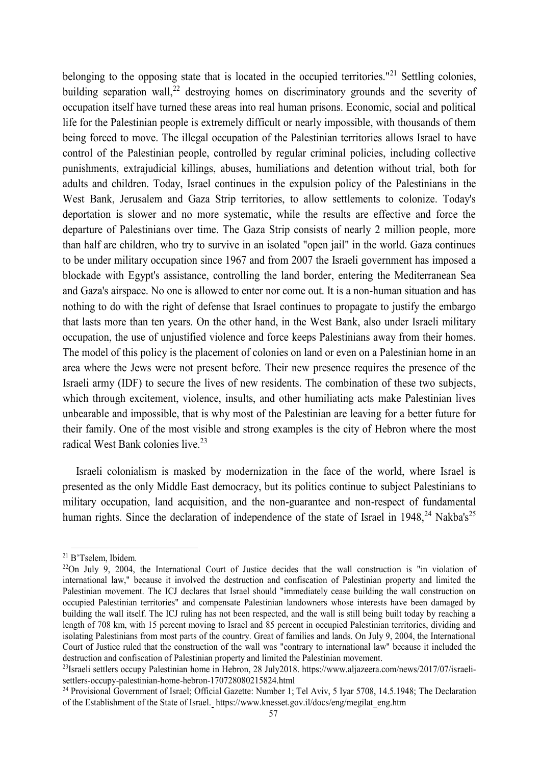belonging to the opposing state that is located in the occupied territories."<sup>21</sup> Settling colonies, building separation wall,<sup>22</sup> destroying homes on discriminatory grounds and the severity of occupation itself have turned these areas into real human prisons. Economic, social and political life for the Palestinian people is extremely difficult or nearly impossible, with thousands of them being forced to move. The illegal occupation of the Palestinian territories allows Israel to have control of the Palestinian people, controlled by regular criminal policies, including collective punishments, extrajudicial killings, abuses, humiliations and detention without trial, both for adults and children. Today, Israel continues in the expulsion policy of the Palestinians in the West Bank, Jerusalem and Gaza Strip territories, to allow settlements to colonize. Today's deportation is slower and no more systematic, while the results are effective and force the departure of Palestinians over time. The Gaza Strip consists of nearly 2 million people, more than half are children, who try to survive in an isolated "open jail" in the world. Gaza continues to be under military occupation since 1967 and from 2007 the Israeli government has imposed a blockade with Egypt's assistance, controlling the land border, entering the Mediterranean Sea and Gaza's airspace. No one is allowed to enter nor come out. It is a non-human situation and has nothing to do with the right of defense that Israel continues to propagate to justify the embargo that lasts more than ten years. On the other hand, in the West Bank, also under Israeli military occupation, the use of unjustified violence and force keeps Palestinians away from their homes. The model of this policy is the placement of colonies on land or even on a Palestinian home in an area where the Jews were not present before. Their new presence requires the presence of the Israeli army (IDF) to secure the lives of new residents. The combination of these two subjects, which through excitement, violence, insults, and other humiliating acts make Palestinian lives unbearable and impossible, that is why most of the Palestinian are leaving for a better future for their family. One of the most visible and strong examples is the city of Hebron where the most radical West Bank colonies live.<sup>23</sup>

 Israeli colonialism is masked by modernization in the face of the world, where Israel is presented as the only Middle East democracy, but its politics continue to subject Palestinians to military occupation, land acquisition, and the non-guarantee and non-respect of fundamental human rights. Since the declaration of independence of the state of Israel in 1948,<sup>24</sup> Nakba's<sup>25</sup>

<sup>21</sup> B'Tselem, Ibidem.

<sup>&</sup>lt;sup>22</sup>On July 9, 2004, the International Court of Justice decides that the wall construction is "in violation of international law," because it involved the destruction and confiscation of Palestinian property and limited the Palestinian movement. The ICJ declares that Israel should "immediately cease building the wall construction on occupied Palestinian territories" and compensate Palestinian landowners whose interests have been damaged by building the wall itself. The ICJ ruling has not been respected, and the wall is still being built today by reaching a length of 708 km, with 15 percent moving to Israel and 85 percent in occupied Palestinian territories, dividing and isolating Palestinians from most parts of the country. Great of families and lands. On July 9, 2004, the International Court of Justice ruled that the construction of the wall was "contrary to international law" because it included the destruction and confiscation of Palestinian property and limited the Palestinian movement.

<sup>&</sup>lt;sup>23</sup>Israeli settlers occupy Palestinian home in Hebron, 28 July2018. https://www.aljazeera.com/news/2017/07/israelisettlers-occupy-palestinian-home-hebron-170728080215824.html

<sup>&</sup>lt;sup>24</sup> Provisional Government of Israel; Official Gazette: Number 1; Tel Aviv, 5 Iyar 5708, 14.5.1948; The Declaration of the Establishment of the State of Israel. https://www.knesset.gov.il/docs/eng/megilat\_eng.htm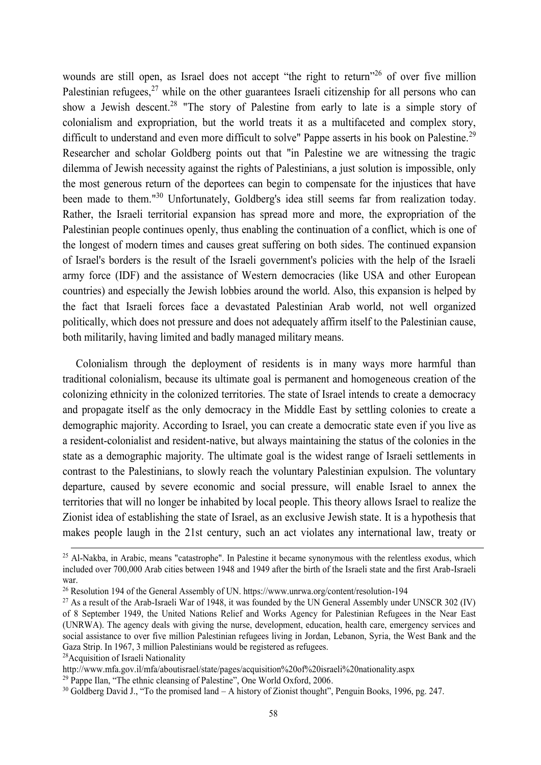wounds are still open, as Israel does not accept "the right to return"<sup>26</sup> of over five million Palestinian refugees, $27$  while on the other guarantees Israeli citizenship for all persons who can show a Jewish descent.<sup>28</sup> "The story of Palestine from early to late is a simple story of colonialism and expropriation, but the world treats it as a multifaceted and complex story, difficult to understand and even more difficult to solve" Pappe asserts in his book on Palestine.<sup>29</sup> Researcher and scholar Goldberg points out that "in Palestine we are witnessing the tragic dilemma of Jewish necessity against the rights of Palestinians, a just solution is impossible, only the most generous return of the deportees can begin to compensate for the injustices that have been made to them."<sup>30</sup> Unfortunately, Goldberg's idea still seems far from realization today. Rather, the Israeli territorial expansion has spread more and more, the expropriation of the Palestinian people continues openly, thus enabling the continuation of a conflict, which is one of the longest of modern times and causes great suffering on both sides. The continued expansion of Israel's borders is the result of the Israeli government's policies with the help of the Israeli army force (IDF) and the assistance of Western democracies (like USA and other European countries) and especially the Jewish lobbies around the world. Also, this expansion is helped by the fact that Israeli forces face a devastated Palestinian Arab world, not well organized politically, which does not pressure and does not adequately affirm itself to the Palestinian cause, both militarily, having limited and badly managed military means.

 Colonialism through the deployment of residents is in many ways more harmful than traditional colonialism, because its ultimate goal is permanent and homogeneous creation of the colonizing ethnicity in the colonized territories. The state of Israel intends to create a democracy and propagate itself as the only democracy in the Middle East by settling colonies to create a demographic majority. According to Israel, you can create a democratic state even if you live as a resident-colonialist and resident-native, but always maintaining the status of the colonies in the state as a demographic majority. The ultimate goal is the widest range of Israeli settlements in contrast to the Palestinians, to slowly reach the voluntary Palestinian expulsion. The voluntary departure, caused by severe economic and social pressure, will enable Israel to annex the territories that will no longer be inhabited by local people. This theory allows Israel to realize the Zionist idea of establishing the state of Israel, as an exclusive Jewish state. It is a hypothesis that makes people laugh in the 21st century, such an act violates any international law, treaty or

<sup>28</sup>Acquisition of Israeli Nationality

 $\overline{a}$ 

 $29$  Pappe Ilan, "The ethnic cleansing of Palestine", One World Oxford, 2006.

<sup>&</sup>lt;sup>25</sup> Al-Nakba, in Arabic, means "catastrophe". In Palestine it became synonymous with the relentless exodus, which included over 700,000 Arab cities between 1948 and 1949 after the birth of the Israeli state and the first Arab-Israeli war.

<sup>26</sup> Resolution 194 of the General Assembly of UN. https://www.unrwa.org/content/resolution-194

 $^{27}$  As a result of the Arab-Israeli War of 1948, it was founded by the UN General Assembly under UNSCR 302 (IV) of 8 September 1949, the United Nations Relief and Works Agency for Palestinian Refugees in the Near East (UNRWA). The agency deals with giving the nurse, development, education, health care, emergency services and social assistance to over five million Palestinian refugees living in Jordan, Lebanon, Syria, the West Bank and the Gaza Strip. In 1967, 3 million Palestinians would be registered as refugees.

http://www.mfa.gov.il/mfa/aboutisrael/state/pages/acquisition%20of%20israeli%20nationality.aspx

 $30$  Goldberg David J., "To the promised land – A history of Zionist thought", Penguin Books, 1996, pg. 247.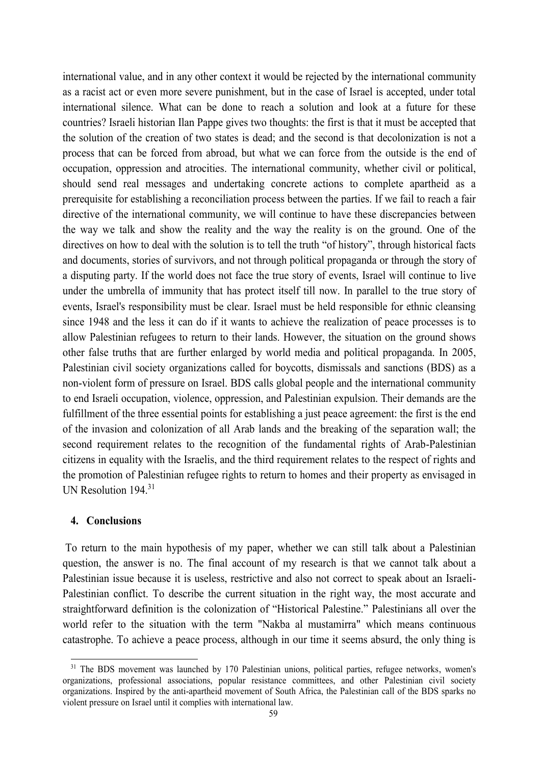international value, and in any other context it would be rejected by the international community as a racist act or even more severe punishment, but in the case of Israel is accepted, under total international silence. What can be done to reach a solution and look at a future for these countries? Israeli historian Ilan Pappe gives two thoughts: the first is that it must be accepted that the solution of the creation of two states is dead; and the second is that decolonization is not a process that can be forced from abroad, but what we can force from the outside is the end of occupation, oppression and atrocities. The international community, whether civil or political, should send real messages and undertaking concrete actions to complete apartheid as a prerequisite for establishing a reconciliation process between the parties. If we fail to reach a fair directive of the international community, we will continue to have these discrepancies between the way we talk and show the reality and the way the reality is on the ground. One of the directives on how to deal with the solution is to tell the truth "of history", through historical facts and documents, stories of survivors, and not through political propaganda or through the story of a disputing party. If the world does not face the true story of events, Israel will continue to live under the umbrella of immunity that has protect itself till now. In parallel to the true story of events, Israel's responsibility must be clear. Israel must be held responsible for ethnic cleansing since 1948 and the less it can do if it wants to achieve the realization of peace processes is to allow Palestinian refugees to return to their lands. However, the situation on the ground shows other false truths that are further enlarged by world media and political propaganda. In 2005, Palestinian civil society organizations called for boycotts, dismissals and sanctions (BDS) as a non-violent form of pressure on Israel. BDS calls global people and the international community to end Israeli occupation, violence, oppression, and Palestinian expulsion. Their demands are the fulfillment of the three essential points for establishing a just peace agreement: the first is the end of the invasion and colonization of all Arab lands and the breaking of the separation wall; the second requirement relates to the recognition of the fundamental rights of Arab-Palestinian citizens in equality with the Israelis, and the third requirement relates to the respect of rights and the promotion of Palestinian refugee rights to return to homes and their property as envisaged in UN Resolution 194.<sup>31</sup>

## **4. Conclusions**

 $\overline{a}$ 

To return to the main hypothesis of my paper, whether we can still talk about a Palestinian question, the answer is no. The final account of my research is that we cannot talk about a Palestinian issue because it is useless, restrictive and also not correct to speak about an Israeli-Palestinian conflict. To describe the current situation in the right way, the most accurate and straightforward definition is the colonization of "Historical Palestine." Palestinians all over the world refer to the situation with the term "Nakba al mustamirra" which means continuous catastrophe. To achieve a peace process, although in our time it seems absurd, the only thing is

<sup>&</sup>lt;sup>31</sup> The BDS movement was launched by 170 Palestinian unions, political parties, refugee networks, women's organizations, professional associations, popular resistance committees, and other Palestinian civil society organizations. Inspired by the anti-apartheid movement of South Africa, the Palestinian call of the BDS sparks no violent pressure on Israel until it complies with international law.